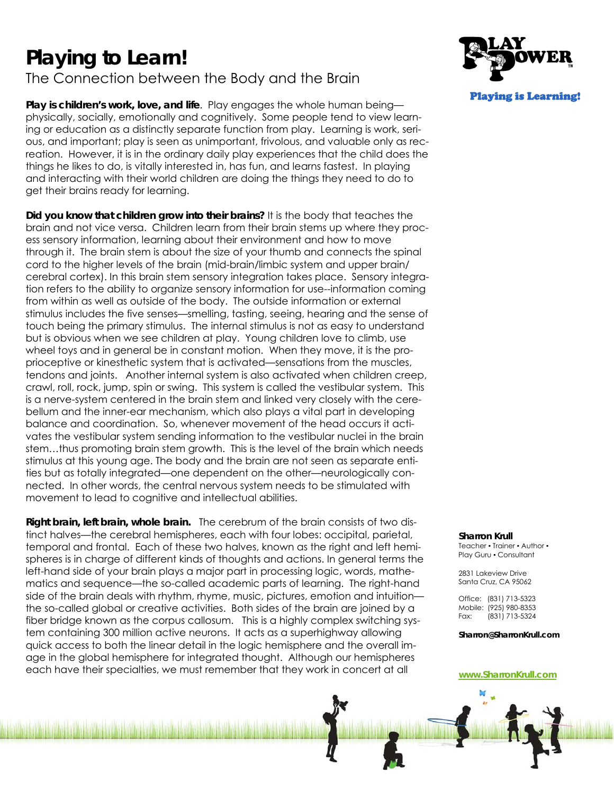# **Playing to Learn!**

# The Connection between the Body and the Brain

**Play is children's work, love, and life**. Play engages the whole human being physically, socially, emotionally and cognitively. Some people tend to view learning or education as a distinctly separate function from play. Learning is work, serious, and important; play is seen as unimportant, frivolous, and valuable only as recreation. However, it is in the ordinary daily play experiences that the child does the things he likes to do, is vitally interested in, has fun, and learns fastest. In playing and interacting with their world children are doing the things they need to do to get their brains ready for learning.

**Did you know that children grow into their brains?** It is the body that teaches the brain and not vice versa. Children learn from their brain stems up where they process sensory information, learning about their environment and how to move through it. The brain stem is about the size of your thumb and connects the spinal cord to the higher levels of the brain (mid-brain/limbic system and upper brain/ cerebral cortex). In this brain stem sensory integration takes place. Sensory integration refers to the ability to organize sensory information for use--information coming from within as well as outside of the body. The outside information or external stimulus includes the five senses—smelling, tasting, seeing, hearing and the sense of touch being the primary stimulus. The internal stimulus is not as easy to understand but is obvious when we see children at play. Young children love to climb, use wheel toys and in general be in constant motion. When they move, it is the proprioceptive or kinesthetic system that is activated—sensations from the muscles, tendons and joints. Another internal system is also activated when children creep, crawl, roll, rock, jump, spin or swing. This system is called the vestibular system. This is a nerve-system centered in the brain stem and linked very closely with the cerebellum and the inner-ear mechanism, which also plays a vital part in developing balance and coordination. So, whenever movement of the head occurs it activates the vestibular system sending information to the vestibular nuclei in the brain stem…thus promoting brain stem growth. This is the level of the brain which needs stimulus at this young age. The body and the brain are not seen as separate entities but as totally integrated—one dependent on the other—neurologically connected. In other words, the central nervous system needs to be stimulated with movement to lead to cognitive and intellectual abilities.

**Right brain, left brain, whole brain.** The cerebrum of the brain consists of two distinct halves—the cerebral hemispheres, each with four lobes: occipital, parietal, temporal and frontal. Each of these two halves, known as the right and left hemispheres is in charge of different kinds of thoughts and actions. In general terms the left-hand side of your brain plays a major part in processing logic, words, mathematics and sequence—the so-called academic parts of learning. The right-hand side of the brain deals with rhythm, rhyme, music, pictures, emotion and intuition the so-called global or creative activities. Both sides of the brain are joined by a fiber bridge known as the corpus callosum. This is a highly complex switching system containing 300 million active neurons. It acts as a superhighway allowing quick access to both the linear detail in the logic hemisphere and the overall image in the global hemisphere for integrated thought. Although our hemispheres each have their specialties, we must remember that they work in concert at all



#### **Sharron Krull**

Teacher • Trainer • Author • Play Guru • Consultant

2831 Lakeview Drive Santa Cruz, CA 95062

Office: (831) 713-5323 Mobile: (925) 980-8353 Fax: (831) 713-5324

**Sharron@SharronKrull.com**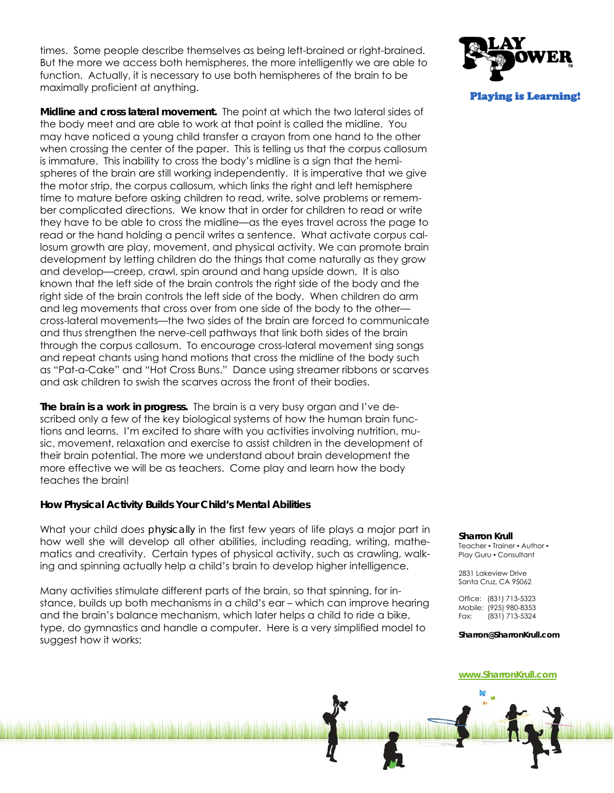times. Some people describe themselves as being left-brained or right-brained. But the more we access both hemispheres, the more intelligently we are able to function. Actually, it is necessary to use both hemispheres of the brain to be maximally proficient at anything.

**Midline and cross lateral movement.** The point at which the two lateral sides of the body meet and are able to work at that point is called the midline. You may have noticed a young child transfer a crayon from one hand to the other when crossing the center of the paper. This is telling us that the corpus callosum is immature. This inability to cross the body's midline is a sign that the hemispheres of the brain are still working independently. It is imperative that we give the motor strip, the corpus callosum, which links the right and left hemisphere time to mature before asking children to read, write, solve problems or remember complicated directions. We know that in order for children to read or write they have to be able to cross the midline—as the eyes travel across the page to read or the hand holding a pencil writes a sentence. What activate corpus callosum growth are play, movement, and physical activity. We can promote brain development by letting children do the things that come naturally as they grow and develop—creep, crawl, spin around and hang upside down. It is also known that the left side of the brain controls the right side of the body and the right side of the brain controls the left side of the body. When children do arm and leg movements that cross over from one side of the body to the other cross-lateral movements—the two sides of the brain are forced to communicate and thus strengthen the nerve-cell pathways that link both sides of the brain through the corpus callosum. To encourage cross-lateral movement sing songs and repeat chants using hand motions that cross the midline of the body such as "Pat-a-Cake" and "Hot Cross Buns." Dance using streamer ribbons or scarves and ask children to swish the scarves across the front of their bodies.

**The brain is a work in progress.** The brain is a very busy organ and I've described only a few of the key biological systems of how the human brain functions and learns. I'm excited to share with you activities involving nutrition, music, movement, relaxation and exercise to assist children in the development of their brain potential. The more we understand about brain development the more effective we will be as teachers. Come play and learn how the body teaches the brain!

# **How Physical Activity Builds Your Child's Mental Abilities**

What your child does *physically* in the first few years of life plays a major part in how well she will develop all other abilities, including reading, writing, mathematics and creativity. Certain types of physical activity, such as crawling, walking and spinning actually help a child's brain to develop higher intelligence.

Many activities stimulate different parts of the brain, so that spinning, for instance, builds up both mechanisms in a child's ear – which can improve hearing and the brain's balance mechanism, which later helps a child to ride a bike, type, do gymnastics and handle a computer. Here is a very simplified model to suggest how it works:



# **Sharron Krull**

Teacher • Trainer • Author • Play Guru • Consultant

2831 Lakeview Drive Santa Cruz, CA 95062

Office: (831) 713-5323 Mobile: (925) 980-8353 Fax: (831) 713-5324

**Sharron@SharronKrull.com**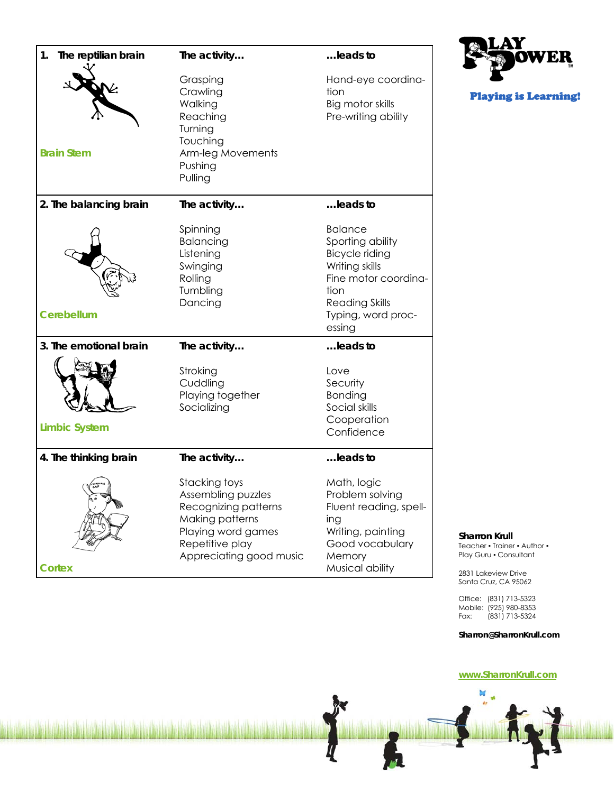| The reptilian brain<br>1. | The activity                                                                                                                                       | leads to                                                                                                                                                               |
|---------------------------|----------------------------------------------------------------------------------------------------------------------------------------------------|------------------------------------------------------------------------------------------------------------------------------------------------------------------------|
| <b>Brain Stem</b>         | Grasping<br>Crawling<br>Walking<br>Reaching<br>Turning<br>Touching<br>Arm-leg Movements<br>Pushing<br>Pulling                                      | Hand-eye coordina-<br>tion<br>Big motor skills<br>Pre-writing ability                                                                                                  |
| 2. The balancing brain    | The activity                                                                                                                                       | leads to                                                                                                                                                               |
| <b>Cerebellum</b>         | Spinning<br>Balancing<br>Listening<br>Swinging<br>Rolling<br>Tumbling<br>Dancing                                                                   | <b>Balance</b><br>Sporting ability<br><b>Bicycle riding</b><br>Writing skills<br>Fine motor coordina-<br>tion<br><b>Reading Skills</b><br>Typing, word proc-<br>essing |
| 3. The emotional brain    | The activity                                                                                                                                       | leads to                                                                                                                                                               |
| <b>Limbic System</b>      | Stroking<br>Cuddling<br>Playing together<br>Socializing                                                                                            | Love<br>Security<br>Bonding<br>Social skills<br>Cooperation<br>Confidence                                                                                              |
| 4. The thinking brain     | The activity                                                                                                                                       | leads to                                                                                                                                                               |
| <b>Cortex</b>             | Stacking toys<br>Assembling puzzles<br>Recognizing patterns<br>Making patterns<br>Playing word games<br>Repetitive play<br>Appreciating good music | Math, logic<br>Problem solving<br>Fluent reading, spell-<br>ing<br>Writing, painting<br>Good vocabulary<br>Memory<br>Musical ability                                   |



Playing is Learning!

**Sharron Krull** 

Teacher • Trainer • Author • Play Guru • Consultant

2831 Lakeview Drive Santa Cruz, CA 95062

Office: (831) 713-5323 Mobile: (925) 980-8353 Fax: (831) 713-5324

#### **Sharron@SharronKrull.com**

# **www.SharronKrull.com**

M  $\mathbf{d}$  $\mathbf{r}$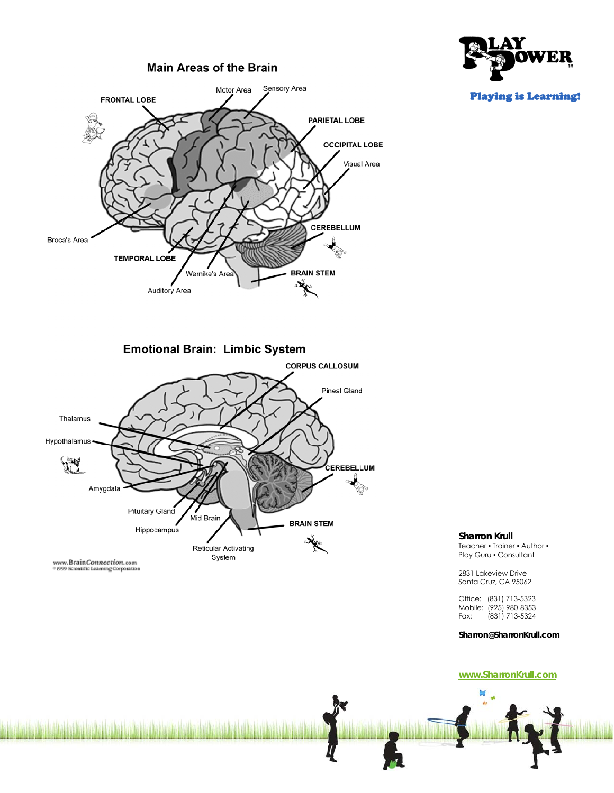



**Sharron Krull** 

Teacher • Trainer • Author • Play Guru • Consultant

2831 Lakeview Drive Santa Cruz, CA 95062

Office: (831) 713-5323 Mobile: (925) 980-8353<br>Fax: (831) 713-5324 Fax: (831) 713-5324

**Sharron@SharronKrull.com**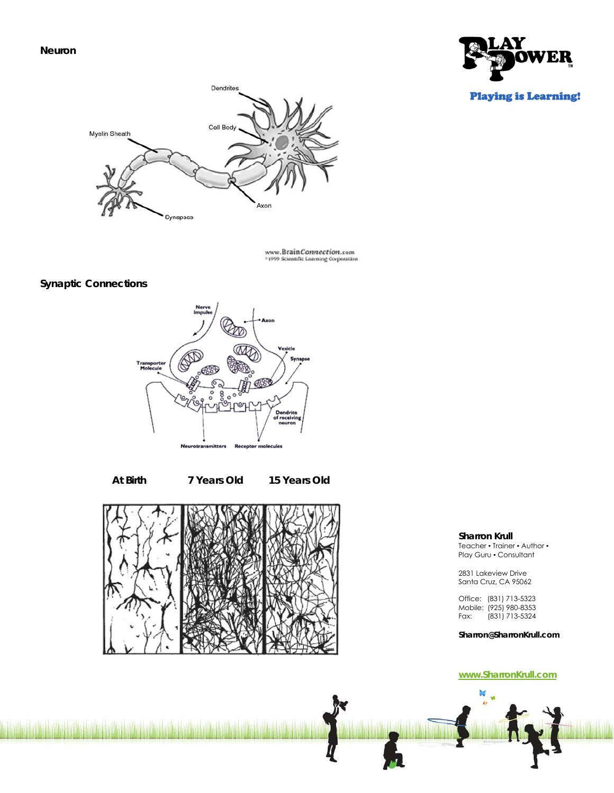**Neuron** 



Playing is Learning!

# Dendrites Cell Body Myelin Sheath Axor Synapses

www.BrainConnection.com<br>\*1999 Scientific Learning Corporation

# **Synaptic Connections**



 **At Birth 7 Years Old 15 Years Old**



**Sharron Krull** 

Teacher • Trainer • Author • Play Guru • Consultant

2831 Lakeview Drive Santa Cruz, CA 95062

Office: (831) 713-5323 Mobile: (925) 980-8353 Fax: (831) 713-5324

**Sharron@SharronKrull.com**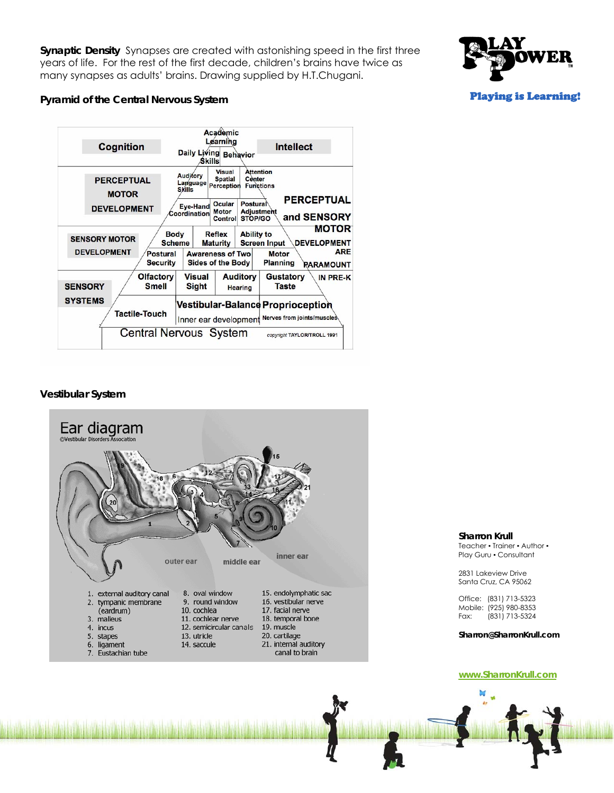**Synaptic Density** Synapses are created with astonishing speed in the first three years of life. For the rest of the first decade, children's brains have twice as many synapses as adults' brains. Drawing supplied by H.T.Chugani.



# **Pyramid of the Central Nervous System**



# **Vestibular System**



#### **Sharron Krull**

Teacher • Trainer • Author • Play Guru . Consultant

2831 Lakeview Drive Santa Cruz, CA 95062

Office: (831) 713-5323 Mobile: (925) 980-8353<br>Fax: (831) 713-5324 Fax: (831) 713-5324

**Sharron@SharronKrull.com**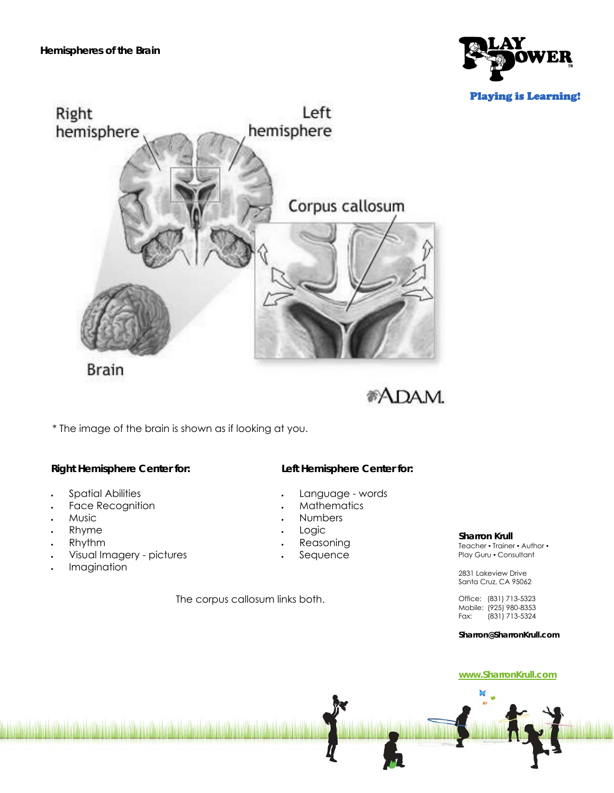



**Brain** 



\* The image of the brain is shown as if looking at you.

# **Right Hemisphere Center for:**

- Spatial Abilities
- Face Recognition
- Music
- Rhyme
- Rhythm
- Visual Imagery pictures
- Imagination

**Left Hemisphere Center for:** 

- Language words
- **Mathematics**
- Numbers
- Logic
- Reasoning
- Sequence

The corpus callosum links both.

# **Sharron Krull**

Teacher • Trainer • Author • Play Guru • Consultant

2831 Lakeview Drive Santa Cruz, CA 95062

Office: (831) 713-5323 Mobile: (925) 980-8353 Fax: (831) 713-5324

**Sharron@SharronKrull.com**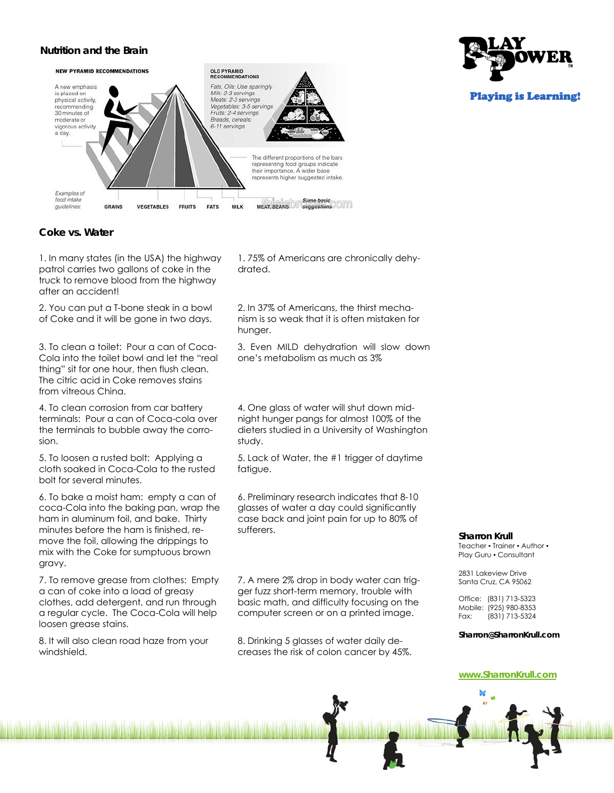# **Nutrition and the Brain**



Playing is Learning!

# **Coke vs. Water**

1. In many states (in the USA) the highway patrol carries two gallons of coke in the truck to remove blood from the highway after an accident!

2. You can put a T-bone steak in a bowl of Coke and it will be gone in two days.

3. To clean a toilet: Pour a can of Coca-Cola into the toilet bowl and let the "real thing" sit for one hour, then flush clean. The citric acid in Coke removes stains from vitreous China.

4. To clean corrosion from car battery terminals: Pour a can of Coca-cola over the terminals to bubble away the corrosion.

5. To loosen a rusted bolt: Applying a cloth soaked in Coca-Cola to the rusted bolt for several minutes.

6. To bake a moist ham: empty a can of coca-Cola into the baking pan, wrap the ham in aluminum foil, and bake. Thirty minutes before the ham is finished, remove the foil, allowing the drippings to mix with the Coke for sumptuous brown gravy.

7. To remove grease from clothes: Empty a can of coke into a load of greasy clothes, add detergent, and run through a regular cycle. The Coca-Cola will help loosen grease stains.

8. It will also clean road haze from your windshield.

1. 75% of Americans are chronically dehydrated.

2. In 37% of Americans, the thirst mechanism is so weak that it is often mistaken for hunger.

3. Even MILD dehydration will slow down one's metabolism as much as 3%

4. One glass of water will shut down midnight hunger pangs for almost 100% of the dieters studied in a University of Washington study.

5. Lack of Water, the #1 trigger of daytime fatigue.

6. Preliminary research indicates that 8-10 glasses of water a day could significantly case back and joint pain for up to 80% of sufferers.

7. A mere 2% drop in body water can trigger fuzz short-term memory, trouble with basic math, and difficulty focusing on the computer screen or on a printed image.

8. Drinking 5 glasses of water daily decreases the risk of colon cancer by 45%.

#### **Sharron Krull**

Teacher • Trainer • Author • Play Guru • Consultant

2831 Lakeview Drive Santa Cruz, CA 95062

Office: (831) 713-5323 Mobile: (925) 980-8353<br>Fax: (831) 713-5324 Fax: (831) 713-5324

**Sharron@SharronKrull.com**